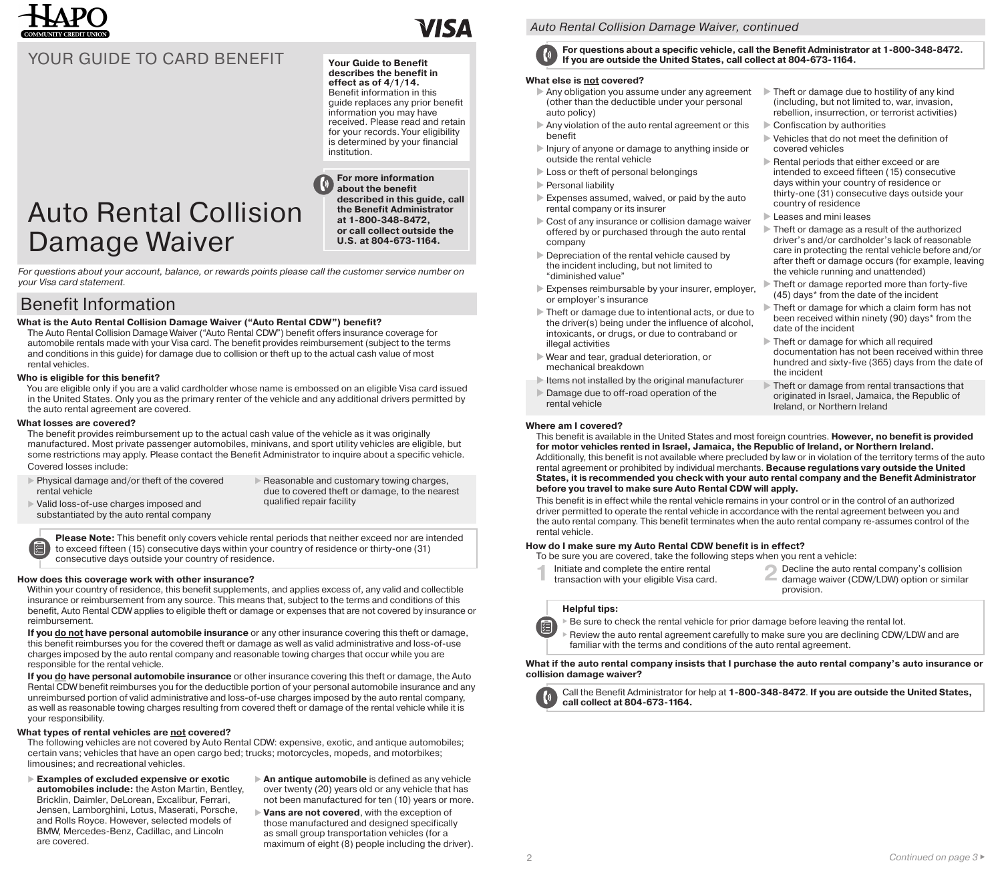

## YOUR GUIDE TO CARD BENEFIT Your Guide to Benefit

## **describes the benefit in**

**effect as of 4/1/14.** Benefit information in this guide replaces any prior benefit information you may have received. Please read and retain for your records. Your eligibility is determined by your financial institution.

# Auto Rental Collision Damage Waiver

**For more information about the benefit described in this guide, call the Benefit Administrator at 1-800-348-8472, or call collect outside the U.S. at 804-673-1164.** 

*For questions about your account, balance, or rewards points please call the customer service number on your Visa card statement.* 

## Benefit Information

#### **What is the Auto Rental Collision Damage Waiver ("Auto Rental CDW") benefit?**

The Auto Rental Collision Damage Waiver ("Auto Rental CDW") benefit offers insurance coverage for automobile rentals made with your Visa card. The benefit provides reimbursement (subject to the terms and conditions in this guide) for damage due to collision or theft up to the actual cash value of most rental vehicles.

#### **Who is eligible for this benefit?**

You are eligible only if you are a valid cardholder whose name is embossed on an eligible Visa card issued in the United States. Only you as the primary renter of the vehicle and any additional drivers permitted by the auto rental agreement are covered.

#### **What losses are covered?**

伯

The benefit provides reimbursement up to the actual cash value of the vehicle as it was originally manufactured. Most private passenger automobiles, minivans, and sport utility vehicles are eligible, but some restrictions may apply. Please contact the Benefit Administrator to inquire about a specific vehicle. Covered losses include:

▶ Physical damage and/or theft of the covered<br>rental vehicle Physical damage and/or theft of the covered Reasonable and customary towing charges,

substantiated by the auto rental company

Valid loss-of-use charges imposed and

due to covered theft or damage, to the nearest qualified repair facility

**Please Note:** This benefit only covers vehicle rental periods that neither exceed nor are intended to exceed fifteen (15) consecutive days within your country of residence or thirty-one (31) consecutive days outside your country of residence.

#### **How does this coverage work with other insurance?**

Within your country of residence, this benefit supplements, and applies excess of, any valid and collectible insurance or reimbursement from any source. This means that, subject to the terms and conditions of this benefit, Auto Rental CDW applies to eligible theft or damage or expenses that are not covered by insurance or reimbursement.

**If you do not have personal automobile insurance** or any other insurance covering this theft or damage, this benefit reimburses you for the covered theft or damage as well as valid administrative and loss-of-use charges imposed by the auto rental company and reasonable towing charges that occur while you are responsible for the rental vehicle.

**If you do have personal automobile insurance** or other insurance covering this theft or damage, the Auto Rental CDW benefit reimburses you for the deductible portion of your personal automobile insurance and any unreimbursed portion of valid administrative and loss-of-use charges imposed by the auto rental company, as well as reasonable towing charges resulting from covered theft or damage of the rental vehicle while it is your responsibility.

#### **What types of rental vehicles are not covered?**

The following vehicles are not covered by Auto Rental CDW: expensive, exotic, and antique automobiles; certain vans; vehicles that have an open cargo bed; trucks; motorcycles, mopeds, and motorbikes; limousines; and recreational vehicles.

- **Examples of excluded expensive or exotic automobiles include:** the Aston Martin, Bentley, Bricklin, Daimler, DeLorean, Excalibur, Ferrari, Jensen, Lamborghini, Lotus, Maserati, Porsche, and Rolls Royce. However, selected models of BMW, Mercedes-Benz, Cadillac, and Lincoln are covered.
- **An antique automobile** is defined as any vehicle over twenty (20) years old or any vehicle that has not been manufactured for ten (10) years or more.
- **Vans are not covered**, with the exception of those manufactured and designed specifically as small group transportation vehicles (for a maximum of eight (8) people including the driver).

#### *Auto Rental Collision Damage Waiver, continued*

**For questions about a specific vehicle, call the Benefit Administrator at 1-800-348-8472. If you are outside the United States, call collect at 804-673-1164.** 

#### **What else is not covered?**

- Any obligation you assume under any agreement (other than the deductible under your personal auto policy)
- Any violation of the auto rental agreement or this benefit
- Injury of anyone or damage to anything inside or outside the rental vehicle
- Loss or theft of personal belongings
- Personal liability
- Expenses assumed, waived, or paid by the auto rental company or its insurer
- Cost of any insurance or collision damage waiver offered by or purchased through the auto rental company
- Depreciation of the rental vehicle caused by the incident including, but not limited to "diminished value"
- Expenses reimbursable by your insurer, employer, or employer's insurance
- Theft or damage due to intentional acts, or due to the driver(s) being under the influence of alcohol, intoxicants, or drugs, or due to contraband or illegal activities
- Wear and tear, gradual deterioration, or mechanical breakdown
- Items not installed by the original manufacturer
- Damage due to off-road operation of the rental vehicle

#### **Where am I covered?**

This benefit is available in the United States and most foreign countries. **However, no benefit is provided for motor vehicles rented in Israel, Jamaica, the Republic of Ireland, or Northern Ireland.**  Additionally, this benefit is not available where precluded by law or in violation of the territory terms of the auto rental agreement or prohibited by individual merchants. **Because regulations vary outside the United States, it is recommended you check with your auto rental company and the Benefit Administrator before you travel to make sure Auto Rental CDW will apply.** 

This benefit is in effect while the rental vehicle remains in your control or in the control of an authorized driver permitted to operate the rental vehicle in accordance with the rental agreement between you and the auto rental company. This benefit terminates when the auto rental company re-assumes control of the rental vehicle.

#### **How do I make sure my Auto Rental CDW benefit is in effect?**

To be sure you are covered, take the following steps when you rent a vehicle:

- 
- Initiate and complete the entire rental **2 Decline the auto rental company's collision** transaction with your eligible Visa card. damage waiver (CDW/LDW) option or similar provision.

Theft or damage due to hostility of any kind

(including, but not limited to, war, invasion, rebellion, insurrection, or terrorist activities)

Vehicles that do not meet the definition of

Rental periods that either exceed or are

Theft or damage as a result of the authorized

driver's and/or cardholder's lack of reasonable care in protecting the rental vehicle before and/or after theft or damage occurs (for example, leaving

intended to exceed fifteen (15) consecutive days within your country of residence or thirty-one (31) consecutive days outside your

Theft or damage reported more than forty-five

Theft or damage for which a claim form has not

been received within ninety (90) days\* from the

documentation has not been received within three hundred and sixty-five (365) days from the date of

Theft or damage from rental transactions that

originated in Israel, Jamaica, the Republic of

Theft or damage for which all required

Ireland, or Northern Ireland

the vehicle running and unattended)

(45) days\* from the date of the incident

Confiscation by authorities

covered vehicles

**Leases and mini leases** 

date of the incident

the incident

country of residence

#### **Helpful tips:**

 $\blacktriangleright$  Be sure to check the rental vehicle for prior damage before leaving the rental lot.

 $\blacktriangleright$  Review the auto rental agreement carefully to make sure you are declining CDW/LDW and are familiar with the terms and conditions of the auto rental agreement.

**What if the auto rental company insists that I purchase the auto rental company's auto insurance or collision damage waiver?** 



阊

 **call collect at 804-673-1164.**  Call the Benefit Administrator for help at **1-800-348-8472**. **If you are outside the United States,**